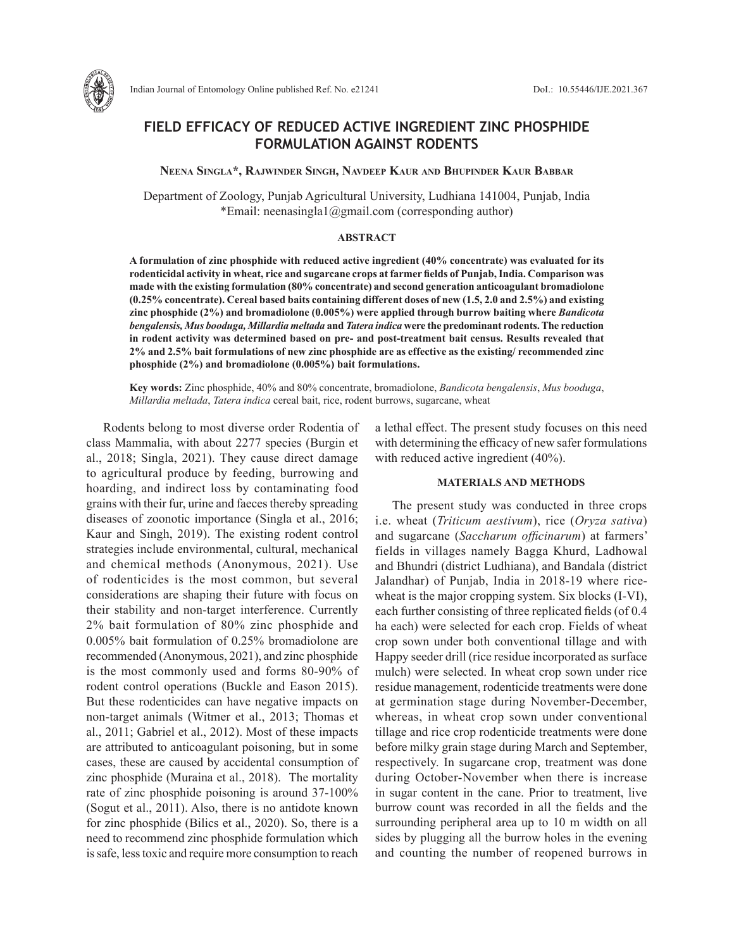

# **FIELD EFFICACY OF REDUCED ACTIVE INGREDIENT ZINC PHOSPHIDE FORMULATION AGAINST RODENTS**

**Neena Singla\*, Rajwinder Singh, Navdeep Kaur and Bhupinder Kaur Babbar**

Department of Zoology, Punjab Agricultural University, Ludhiana 141004, Punjab, India \*Email: neenasingla1@gmail.com (corresponding author)

### **ABSTRACT**

**A formulation of zinc phosphide with reduced active ingredient (40% concentrate) was evaluated for its rodenticidal activity in wheat, rice and sugarcane crops at farmer fields of Punjab, India. Comparison was made with the existing formulation (80% concentrate) and second generation anticoagulant bromadiolone (0.25% concentrate). Cereal based baits containing different doses of new (1.5, 2.0 and 2.5%) and existing zinc phosphide (2%) and bromadiolone (0.005%) were applied through burrow baiting where** *Bandicota bengalensis, Mus booduga, Millardia meltada* **and** *Tatera indica* **were the predominant rodents. The reduction in rodent activity was determined based on pre- and post-treatment bait census. Results revealed that 2% and 2.5% bait formulations of new zinc phosphide are as effective as the existing/ recommended zinc phosphide (2%) and bromadiolone (0.005%) bait formulations.** 

**Key words:** Zinc phosphide, 40% and 80% concentrate, bromadiolone, *Bandicota bengalensis*, *Mus booduga*, *Millardia meltada*, *Tatera indica* cereal bait, rice, rodent burrows, sugarcane, wheat

Rodents belong to most diverse order Rodentia of class Mammalia, with about 2277 species (Burgin et al., 2018; Singla, 2021). They cause direct damage to agricultural produce by feeding, burrowing and hoarding, and indirect loss by contaminating food grains with their fur, urine and faeces thereby spreading diseases of zoonotic importance (Singla et al., 2016; Kaur and Singh, 2019). The existing rodent control strategies include environmental, cultural, mechanical and chemical methods (Anonymous, 2021). Use of rodenticides is the most common, but several considerations are shaping their future with focus on their stability and non-target interference. Currently 2% bait formulation of 80% zinc phosphide and 0.005% bait formulation of 0.25% bromadiolone are recommended (Anonymous, 2021), and zinc phosphide is the most commonly used and forms 80-90% of rodent control operations (Buckle and Eason 2015). But these rodenticides can have negative impacts on non-target animals (Witmer et al., 2013; Thomas et al., 2011; Gabriel et al., 2012). Most of these impacts are attributed to anticoagulant poisoning, but in some cases, these are caused by accidental consumption of zinc phosphide (Muraina et al., 2018). The mortality rate of zinc phosphide poisoning is around 37-100% (Sogut et al., 2011). Also, there is no antidote known for zinc phosphide (Bilics et al., 2020). So, there is a need to recommend zinc phosphide formulation which is safe, less toxic and require more consumption to reach a lethal effect. The present study focuses on this need with determining the efficacy of new safer formulations with reduced active ingredient (40%).

### **MATERIALS AND METHODS**

The present study was conducted in three crops i.e. wheat (*Triticum aestivum*), rice (*Oryza sativa*) and sugarcane (*Saccharum officinarum*) at farmers' fields in villages namely Bagga Khurd, Ladhowal and Bhundri (district Ludhiana), and Bandala (district Jalandhar) of Punjab, India in 2018-19 where ricewheat is the major cropping system. Six blocks (I-VI), each further consisting of three replicated fields (of 0.4 ha each) were selected for each crop. Fields of wheat crop sown under both conventional tillage and with Happy seeder drill (rice residue incorporated as surface mulch) were selected. In wheat crop sown under rice residue management, rodenticide treatments were done at germination stage during November-December, whereas, in wheat crop sown under conventional tillage and rice crop rodenticide treatments were done before milky grain stage during March and September, respectively. In sugarcane crop, treatment was done during October-November when there is increase in sugar content in the cane. Prior to treatment, live burrow count was recorded in all the fields and the surrounding peripheral area up to 10 m width on all sides by plugging all the burrow holes in the evening and counting the number of reopened burrows in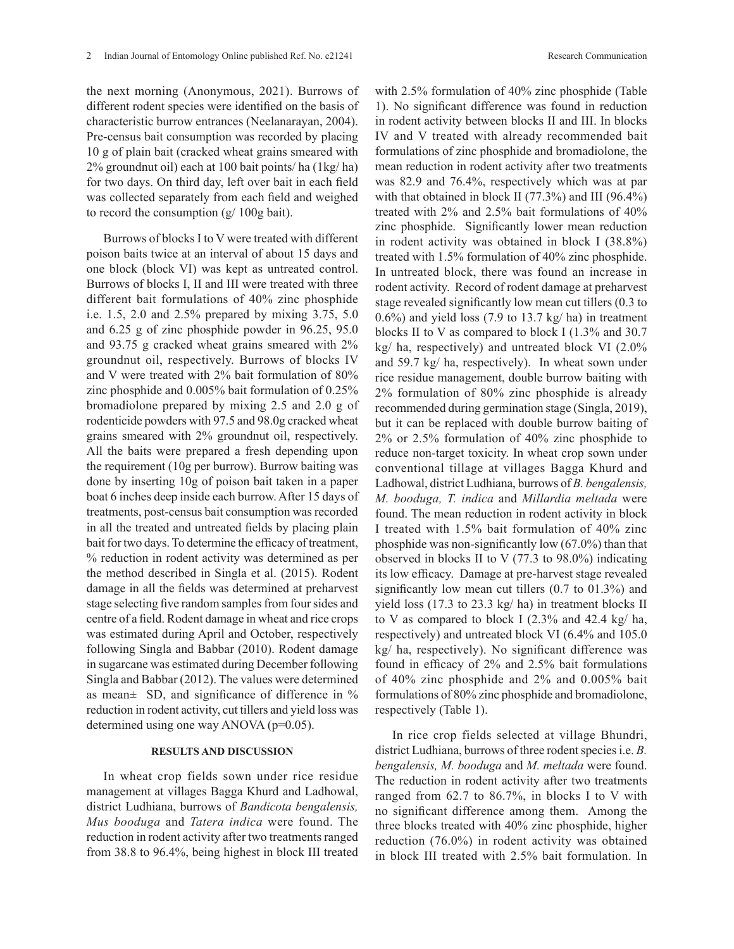the next morning (Anonymous, 2021). Burrows of different rodent species were identified on the basis of characteristic burrow entrances (Neelanarayan, 2004). Pre-census bait consumption was recorded by placing 10 g of plain bait (cracked wheat grains smeared with 2% groundnut oil) each at 100 bait points/ ha (1kg/ ha) for two days. On third day, left over bait in each field was collected separately from each field and weighed to record the consumption (g/ 100g bait).

Burrows of blocks I to V were treated with different poison baits twice at an interval of about 15 days and one block (block VI) was kept as untreated control. Burrows of blocks I, II and III were treated with three different bait formulations of 40% zinc phosphide i.e. 1.5, 2.0 and 2.5% prepared by mixing 3.75, 5.0 and 6.25 g of zinc phosphide powder in 96.25, 95.0 and 93.75 g cracked wheat grains smeared with 2% groundnut oil, respectively. Burrows of blocks IV and V were treated with 2% bait formulation of 80% zinc phosphide and 0.005% bait formulation of 0.25% bromadiolone prepared by mixing 2.5 and 2.0 g of rodenticide powders with 97.5 and 98.0g cracked wheat grains smeared with 2% groundnut oil, respectively. All the baits were prepared a fresh depending upon the requirement (10g per burrow). Burrow baiting was done by inserting 10g of poison bait taken in a paper boat 6 inches deep inside each burrow. After 15 days of treatments, post-census bait consumption was recorded in all the treated and untreated fields by placing plain bait for two days. To determine the efficacy of treatment, % reduction in rodent activity was determined as per the method described in Singla et al. (2015). Rodent damage in all the fields was determined at preharvest stage selecting five random samples from four sides and centre of a field. Rodent damage in wheat and rice crops was estimated during April and October, respectively following Singla and Babbar (2010). Rodent damage in sugarcane was estimated during December following Singla and Babbar (2012). The values were determined as mean± SD, and significance of difference in % reduction in rodent activity, cut tillers and yield loss was determined using one way ANOVA (p=0.05).

# **RESULTS AND DISCUSSION**

In wheat crop fields sown under rice residue management at villages Bagga Khurd and Ladhowal, district Ludhiana, burrows of *Bandicota bengalensis, Mus booduga* and *Tatera indica* were found. The reduction in rodent activity after two treatments ranged from 38.8 to 96.4%, being highest in block III treated with 2.5% formulation of 40% zinc phosphide (Table 1). No significant difference was found in reduction in rodent activity between blocks II and III. In blocks IV and V treated with already recommended bait formulations of zinc phosphide and bromadiolone, the mean reduction in rodent activity after two treatments was 82.9 and 76.4%, respectively which was at par with that obtained in block II (77.3%) and III (96.4%) treated with 2% and 2.5% bait formulations of 40% zinc phosphide. Significantly lower mean reduction in rodent activity was obtained in block I (38.8%) treated with 1.5% formulation of 40% zinc phosphide. In untreated block, there was found an increase in rodent activity. Record of rodent damage at preharvest stage revealed significantly low mean cut tillers (0.3 to  $0.6\%$ ) and yield loss (7.9 to 13.7 kg/ ha) in treatment blocks II to V as compared to block I (1.3% and 30.7 kg/ ha, respectively) and untreated block VI (2.0% and 59.7 kg/ ha, respectively). In wheat sown under rice residue management, double burrow baiting with 2% formulation of 80% zinc phosphide is already recommended during germination stage (Singla, 2019), but it can be replaced with double burrow baiting of 2% or 2.5% formulation of 40% zinc phosphide to reduce non-target toxicity. In wheat crop sown under conventional tillage at villages Bagga Khurd and Ladhowal, district Ludhiana, burrows of *B. bengalensis, M. booduga, T. indica* and *Millardia meltada* were found. The mean reduction in rodent activity in block I treated with 1.5% bait formulation of 40% zinc phosphide was non-significantly low (67.0%) than that observed in blocks II to V (77.3 to 98.0%) indicating its low efficacy. Damage at pre-harvest stage revealed significantly low mean cut tillers (0.7 to 01.3%) and yield loss (17.3 to 23.3 kg/ ha) in treatment blocks II to V as compared to block I (2.3% and 42.4 kg/ ha, respectively) and untreated block VI (6.4% and 105.0 kg/ ha, respectively). No significant difference was found in efficacy of 2% and 2.5% bait formulations of 40% zinc phosphide and 2% and 0.005% bait formulations of 80% zinc phosphide and bromadiolone, respectively (Table 1).

In rice crop fields selected at village Bhundri, district Ludhiana, burrows of three rodent species i.e. *B. bengalensis, M. booduga* and *M. meltada* were found. The reduction in rodent activity after two treatments ranged from 62.7 to 86.7%, in blocks I to V with no significant difference among them. Among the three blocks treated with 40% zinc phosphide, higher reduction (76.0%) in rodent activity was obtained in block III treated with 2.5% bait formulation. In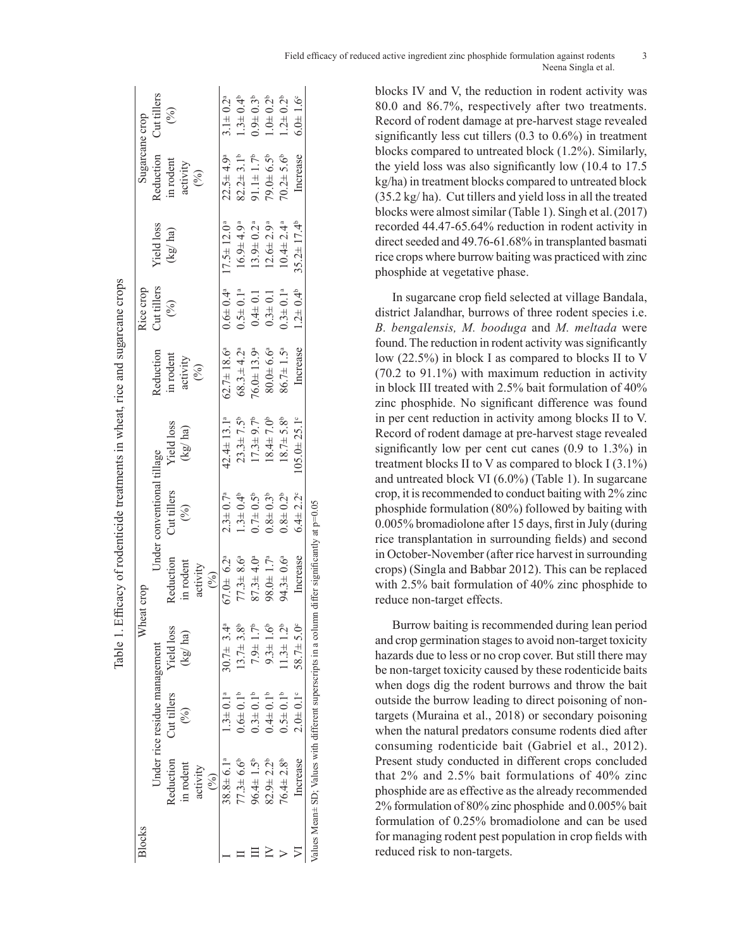| Blocks |                                                                                                     |                               |                            | Wheat crop                  |                            |                             |                              | Rice crop                  |                             | Sugarcane crop              |                       |
|--------|-----------------------------------------------------------------------------------------------------|-------------------------------|----------------------------|-----------------------------|----------------------------|-----------------------------|------------------------------|----------------------------|-----------------------------|-----------------------------|-----------------------|
|        |                                                                                                     | Under rice residue management |                            |                             | Under conventional tillage |                             | Reduction                    | Cut tillers                | <b>Yield</b> loss           | Reduction                   | Cut tillers           |
|        | Reduction                                                                                           | Cut tillers                   | <b>Yield loss</b>          | Reduction                   | Cut tillers                | <b>Yield</b> loss           | in rodent                    | (%)                        | (kg/ha)                     | in rodent                   | $($ % $)$             |
|        | in rodent                                                                                           | $\binom{0}{0}$                | (kg/ha)                    | in rodent                   | (%)                        | (kg/ha)                     | activity                     |                            |                             | activity                    |                       |
|        | activity                                                                                            |                               |                            | activity                    |                            |                             | (%)                          |                            |                             | (%)                         |                       |
|        | $\binom{0}{0}$                                                                                      |                               |                            | (9/6)                       |                            |                             |                              |                            |                             |                             |                       |
|        | $38.8 \pm 6.1^a$                                                                                    | $1.3 \pm 0.1^a$               | $30.7\pm 3.4^{\circ}$      | $67.0 + 6.2^{\circ}$        | $2.3 \pm 0.7^a$            | $42.4 \pm 13.1^a$           | $62.7 \pm 18.6^{\circ}$      | $0.6 \pm 0.4$ <sup>a</sup> | $17.5 \pm 12.0^a$           | $22.5 \pm 4.9^a$            | $3.1 \pm 0.2^a$       |
|        | $77.3 \pm 6.6^{\circ}$                                                                              | $0.6\pm0.1$ <sup>b</sup>      | $13.7 \pm 3.8$             | $77.3 \pm 8.6^a$            | $1.3 \pm 0.4^b$            | $23.3 \pm 7.5^{\circ}$      | $68.3 \pm 4.2^{\circ}$       | $0.5 \pm 0.1$ <sup>a</sup> | $16.9 \pm 4.9^{\circ}$      | $82.2 \pm 3.1^b$            | $1.3 \pm 0.4^b$       |
|        | $96.4 \pm 1.5^b$                                                                                    | $0.3 \pm 0.1$ <sup>b</sup>    | $7.9 \pm 1.7^{\circ}$      | $87.3 \pm 4.0$ <sup>a</sup> | $0.7\pm0.5^{\circ}$        | $17.3 \pm 9.7^{\circ}$      | $76.0 \pm 13.9$ <sup>a</sup> | $0.4\pm 0.1$               | $13.9 \pm 0.2$ <sup>a</sup> | $91.1 \pm 1.7$ <sup>b</sup> | $0.94 \pm 0.3^{b}$    |
|        | $82.9 \pm 2.2^b$                                                                                    | $0.4 \pm 0.1$ <sup>b</sup>    | $9.3 \pm 1.6$ <sup>t</sup> | $98.0 \pm 1.7^a$            | $0.8 + 0.3^{b}$            | $18.4 \pm 7.0^{\circ}$      | 80.0466                      | $0.3 + 0.1$                | $12.6 \pm 2.9^{\circ}$      | $79.0 \pm 6.5$              | $1.0 + 0.2^{b}$       |
|        | $76.4 \pm 2.8$ <sup>b</sup>                                                                         | $0.5 \pm 0.1^{\circ}$         | $1.3 \pm 1.2^{\circ}$      | $94.3 \pm 0.6^a$            | $0.8\pm 0.2^{b}$           | $18.7 \pm 5.8$ <sup>b</sup> | $86.7 \pm 1.5^{\circ}$       | $0.3 \pm 0.1$ <sup>a</sup> | $10.4 \pm 2.4$ <sup>a</sup> | $70.2 \pm 5.6$ <sup>b</sup> | $1.2 \pm 0.2^b$       |
|        | Increase                                                                                            | $2.0 \pm 0.1^{\circ}$         | $58.7 \pm 5.0$             | Increase                    | $6.4 \pm 2.2$ <sup>c</sup> | $105.0 \pm 25.1$ °          | Increase                     | $1.2 \pm 0.4^{\circ}$      | $35.2 \pm 17.4^b$           | Increase                    | $6.0 \pm 1.6^{\circ}$ |
|        | Values Mean $\pm$ SD; Values with different superscripts in a column differ significantly at p=0.05 |                               |                            |                             |                            |                             |                              |                            |                             |                             |                       |

Table 1. Efficacy of rodenticide treatments in wheat, rice and sugarcane crops

blocks IV and V, the reduction in rodent activity was 80.0 and 86.7%, respectively after two treatments. Record of rodent damage at pre-harvest stage revealed significantly less cut tillers (0.3 to 0.6%) in treatment blocks compared to untreated block (1.2%). Similarly, the yield loss was also significantly low (10.4 to 17.5 kg/ha) in treatment blocks compared to untreated block (35.2 kg/ ha). Cut tillers and yield loss in all the treated blocks were almost similar (Table 1). Singh et al.(2017) recorded 44.47-65.64% reduction in rodent activity in direct seeded and 49.76-61.68% in transplanted basmati rice crops where burrow baiting was practiced with zinc phosphide at vegetative phase.

In sugarcane crop field selected at village Bandala, district Jalandhar, burrows of three rodent species i.e. *B. bengalensis, M. booduga* and *M. meltada* were found. The reduction in rodent activity was significantly low (22.5%) in block I as compared to blocks II to V (70.2 to 91.1%) with maximum reduction in activity in block III treated with 2.5% bait formulation of 40% zinc phosphide. No significant difference was found in per cent reduction in activity among blocks II to V. Record of rodent damage at pre-harvest stage revealed significantly low per cent cut canes (0.9 to 1.3%) in treatment blocks II to V as compared to block I  $(3.1\%)$ and untreated block VI (6.0%) (Table 1). In sugarcane crop, it is recommended to conduct baiting with 2% zinc phosphide formulation (80%) followed by baiting with 0.005% bromadiolone after 15 days, first in July (during rice transplantation in surrounding fields) and second in October-November (after rice harvest in surrounding crops) (Singla and Babbar 2012). This can be replaced with 2.5% bait formulation of 40% zinc phosphide to reduce non-target effects.

Burrow baiting is recommended during lean period and crop germination stages to avoid non-target toxicity hazards due to less or no crop cover. But still there may be non-target toxicity caused by these rodenticide baits when dogs dig the rodent burrows and throw the bait outside the burrow leading to direct poisoning of nontargets (Muraina et al., 2018) or secondary poisoning when the natural predators consume rodents died after consuming rodenticide bait (Gabriel et al., 2012). Present study conducted in different crops concluded that 2% and 2.5% bait formulations of 40% zinc phosphide are as effective as the already recommended 2% formulation of 80% zinc phosphide and 0.005% bait formulation of 0.25% bromadiolone and can be used for managing rodent pest population in crop fields with reduced risk to non-targets.